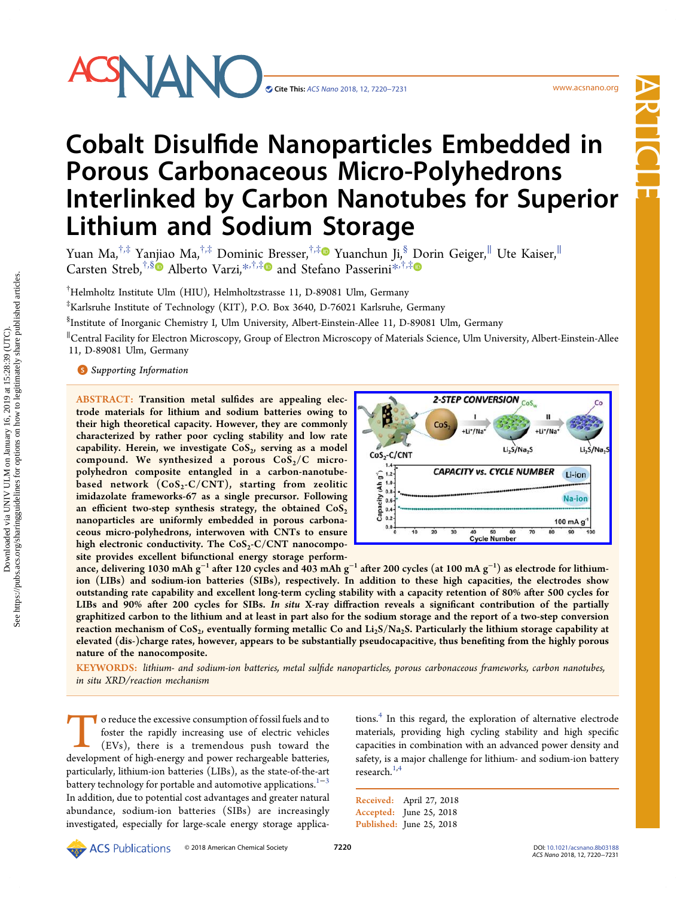# SNANC

Article

# Cobalt Disulfide Nanoparticles Embedded in Porous Carbonaceous Micro-Polyhedrons Interlinked by Carbon Nanotubes for Superior Lithium and Sodium Storage

Yuan Ma,<sup>†,‡</sup> Yanjiao Ma,<sup>†,‡</sup> Do[minic](#page-10-0) [B](#page-10-0)resser,<sup>†,‡</sup>® Yuanchun Ji,<sup>§</sup> [D](#page-10-0)orin Geiger,<sup>∥</sup> Ute Kaiser,<sup>∥</sup> Carsten Streb,<sup>†,[§](#page-10-0)</sup> Alberto Varzi,<sup>[\\*](#page-10-0),†,‡</sup> and Stefano Passerini<sup>\*,†,‡</sup>

† Helmholtz Institute Ulm (HIU), Helmholtzstrasse 11, D-89081 Ulm, Germany

‡ Karlsruhe Institute of Technology (KIT), P.O. Box 3640, D-76021 Karlsruhe, Germany

§ Institute of Inorganic Chemistry I, Ulm University, Albert-Einstein-Allee 11, D-89081 Ulm, Germany

∥ Central Facility for Electron Microscopy, Group of Electron Microscopy of Materials Science, Ulm University, Albert-Einstein-Allee 11, D-89081 Ulm, Germany

# **S** [Supporting Information](#page-10-0)

ABSTRACT: Transition metal sulfides are appealing electrode materials for lithium and sodium batteries owing to their high theoretical capacity. However, they are commonly characterized by rather poor cycling stability and low rate capability. Herein, we investigate  $CoS<sub>2</sub>$ , serving as a model compound. We synthesized a porous  $CoS_2/C$  micropolyhedron composite entangled in a carbon-nanotubebased network  $(CoS_2-C/CNT)$ , starting from zeolitic imidazolate frameworks-67 as a single precursor. Following an efficient two-step synthesis strategy, the obtained  $\text{CoS}_2$ nanoparticles are uniformly embedded in porous carbonaceous micro-polyhedrons, interwoven with CNTs to ensure high electronic conductivity. The  $CoS_2-C/CNT$  nanocomposite provides excellent bifunctional energy storage perform-



ance, delivering 1030 mAh g $^{-1}$  after 120 cycles and 403 mAh g $^{-1}$  after 200 cycles (at 100 mA g $^{-1})$  as electrode for lithiumion (LIBs) and sodium-ion batteries (SIBs), respectively. In addition to these high capacities, the electrodes show outstanding rate capability and excellent long-term cycling stability with a capacity retention of 80% after 500 cycles for LIBs and 90% after 200 cycles for SIBs. In situ X-ray diffraction reveals a significant contribution of the partially graphitized carbon to the lithium and at least in part also for the sodium storage and the report of a two-step conversion reaction mechanism of  $CoS<sub>2</sub>$ , eventually forming metallic Co and  $Li<sub>2</sub>S/Na<sub>2</sub>S$ . Particularly the lithium storage capability at elevated (dis-)charge rates, however, appears to be substantially pseudocapacitive, thus benefiting from the highly porous nature of the nanocomposite.

KEYWORDS: lithium- and sodium-ion batteries, metal sulfide nanoparticles, porous carbonaceous frameworks, carbon nanotubes, in situ XRD/reaction mechanism

To reduce the excessive consumption of fossil fuels and to<br>foster the rapidly increasing use of electric vehicles<br>(EVs), there is a tremendous push toward the<br>development of high-energy and power rechargeable batteries. foster the rapidly increasing use of electric vehicles (EVs), there is a tremendous push toward the development of high-energy and power rechargeable batteries, particularly, lithium-ion batteries (LIBs), as the state-of-the-art battery technology for portable and automotive applications.<sup>1−[3](#page-10-0)</sup> In addition, due to potential cost advantages and greater natural abundance, sodium-ion batteries (SIBs) are increasingly investigated, especially for large-scale energy storage applications.<sup>4</sup> [In this regard, the exploration of alternative electrode](#page-10-0) materials, providing high cycling stability and high specific capacities in combination with an advanced power density and safety, is a major challenge for lithium- and sodium-ion battery research. $1,4$ 

Received: April 27, 2018 Accepted: June 25, 2018 Published: June 25, 2018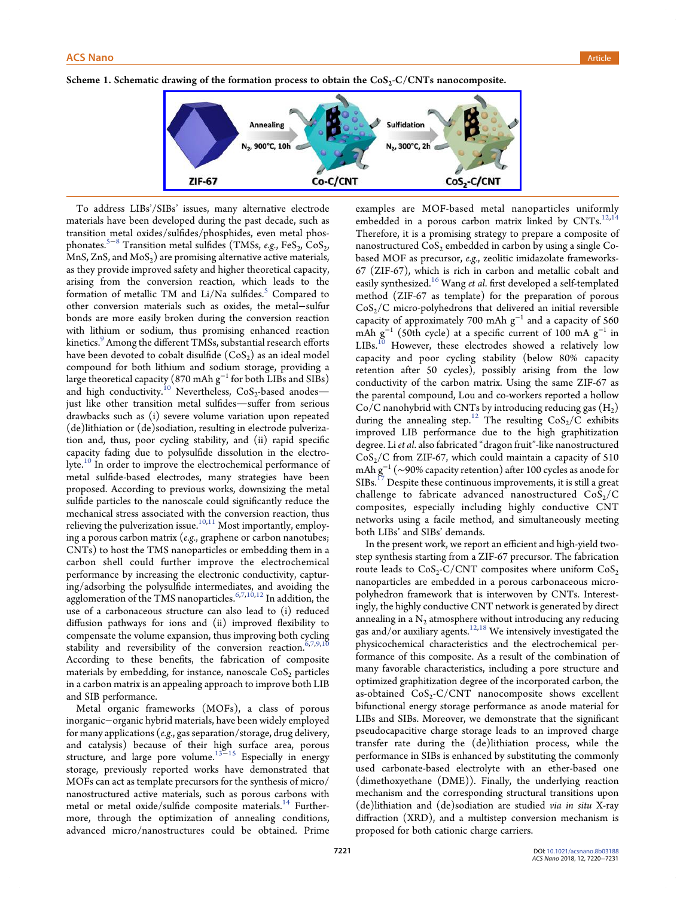<span id="page-1-0"></span>Scheme 1. Schematic drawing of the formation process to obtain the  $CoS_2-C/CNTs$  nanocomposite.



To address LIBs'/SIBs' issues, many alternative electrode materials have been developed during the past decade, such as transition metal oxides/sulfides/phosphides, even metal phos-phonates.<sup>[5](#page-10-0)−[8](#page-10-0)</sup> Transition metal sulfides (TMSs, e.g., FeS<sub>2</sub>, CoS<sub>2</sub>, MnS, ZnS, and  $MoS<sub>2</sub>$ ) are promising alternative active materials, as they provide improved safety and higher theoretical capacity, arising from the conversion reaction, which leads to the formation of metallic TM and  $Li/Na$  sulfides.<sup>5</sup> [Compared to](#page-10-0) other conversion materials such as oxides, the metal−sulfur bonds are more easily broken during the conversion reaction with lithium or sodium, thus promising enhanced reaction kinetics.<sup>9</sup> Among the diff[erent TMSs, substantial research e](#page-10-0)fforts have been devoted to cobalt disulfide  $(CoS<sub>2</sub>)$  as an ideal model compound for both lithium and sodium storage, providing a large theoretical capacity (870 mAh  $g^{-1}$  for both LIBs and SIBs) and high conductivity.<sup>10</sup> Nevertheless,  $CoS_2$ -based anodesjust like other transition metal sulfides-suffer from serious drawbacks such as (i) severe volume variation upon repeated (de)lithiation or (de)sodiation, resulting in electrode pulverization and, thus, poor cycling stability, and (ii) rapid specific capacity fading due to polysulfide dissolution in the electro-lyte.<sup>10</sup> [In order to improve the electrochemical performance of](#page-10-0) metal sulfide-based electrodes, many strategies have been proposed. According to previous works, downsizing the metal sulfide particles to the nanoscale could significantly reduce the mechanical stress associated with the conversion reaction, thus relieving the pulverization issue.<sup>[10,11](#page-10-0)</sup> Most importantly, employing a porous carbon matrix (e.g., graphene or carbon nanotubes; CNTs) to host the TMS nanoparticles or embedding them in a carbon shell could further improve the electrochemical performance by increasing the electronic conductivity, capturing/adsorbing the polysulfide intermediates, and avoiding the agglomeration of the TMS nanoparticles.<sup>[6](#page-10-0),[7](#page-10-0),[10,12](#page-10-0)</sup> In addition, the use of a carbonaceous structure can also lead to (i) reduced diffusion pathways for ions and (ii) improved flexibility to compensate the volume expansion, thus improving both cycling stability and reversibility of the conversion reaction.<sup>6,7,9,1</sup> According to these benefits, the fabrication of composite materials by embedding, for instance, nanoscale  $CoS<sub>2</sub>$  particles in a carbon matrix is an appealing approach to improve both LIB and SIB performance.

Metal organic frameworks (MOFs), a class of porous inorganic−organic hybrid materials, have been widely employed for many applications (e.g., gas separation/storage, drug delivery, and catalysis) because of their high surface area, porous structure, and large pore volume.<sup>[13](#page-10-0)–[15](#page-10-0)</sup> Especially in energy storage, previously reported works have demonstrated that MOFs can act as template precursors for the synthesis of micro/ nanostructured active materials, such as porous carbons with metal or metal oxide/sulfide composite materials.<sup>14</sup> [Further](#page-10-0)more, through the optimization of annealing conditions, advanced micro/nanostructures could be obtained. Prime

examples are MOF-based metal nanoparticles uniformly embedded in a porous carbon matrix linked by CNTs.<sup>[12,14](#page-10-0)</sup> Therefore, it is a promising strategy to prepare a composite of nanostructured  $CoS<sub>2</sub>$  embedded in carbon by using a single Cobased MOF as precursor, e.g., zeolitic imidazolate frameworks-67 (ZIF-67), which is rich in carbon and metallic cobalt and easily synthesized.<sup>16</sup> Wang et al. fi[rst developed a self-templated](#page-10-0) method (ZIF-67 as template) for the preparation of porous  $CoS<sub>2</sub>/C$  micro-polyhedrons that delivered an initial reversible capacity of approximately 700 mAh  $g^{-1}$  and a capacity of 560 mAh g<sup>-1</sup> (50th cycle) at a specific current of 100 mA g<sup>-1</sup> in  $LIBs.<sup>10</sup>$  [However, these electrodes showed a relatively low](#page-10-0) capacity and poor cycling stability (below 80% capacity retention after 50 cycles), possibly arising from the low conductivity of the carbon matrix. Using the same ZIF-67 as the parental compound, Lou and co-workers reported a hollow Co/C nanohybrid with CNTs by introducing reducing gas  $(H_2)$ during the annealing step.<sup>12</sup> The resulting  $CoS_2/C$  exhibits improved LIB performance due to the high graphitization degree. Li et al. also fabricated "dragon fruit"-like nanostructured  $CoS<sub>2</sub>/C$  from ZIF-67, which could maintain a capacity of 510 mAh  $g^{-1}$  (~90% capacity retention) after 100 cycles as anode for  ${\rm SIBs.}^{17}$  [Despite these continuous improvements, it is still a great](#page-10-0) challenge to fabricate advanced nanostructured  $CoS<sub>2</sub>/C$ composites, especially including highly conductive CNT networks using a facile method, and simultaneously meeting both LIBs' and SIBs' demands.

In the present work, we report an efficient and high-yield twostep synthesis starting from a ZIF-67 precursor. The fabrication route leads to  $CoS_2-C/CNT$  composites where uniform  $CoS_2$ nanoparticles are embedded in a porous carbonaceous micropolyhedron framework that is interwoven by CNTs. Interestingly, the highly conductive CNT network is generated by direct annealing in a  $N_2$  atmosphere without introducing any reducing gas and/or auxiliary agents. $12,18$  $12,18$  $12,18$  We intensively investigated the physicochemical characteristics and the electrochemical performance of this composite. As a result of the combination of many favorable characteristics, including a pore structure and optimized graphitization degree of the incorporated carbon, the as-obtained  $CoS_2-C/CNT$  nanocomposite shows excellent bifunctional energy storage performance as anode material for LIBs and SIBs. Moreover, we demonstrate that the significant pseudocapacitive charge storage leads to an improved charge transfer rate during the (de)lithiation process, while the performance in SIBs is enhanced by substituting the commonly used carbonate-based electrolyte with an ether-based one (dimethoxyethane (DME)). Finally, the underlying reaction mechanism and the corresponding structural transitions upon (de)lithiation and (de)sodiation are studied via in situ X-ray diffraction (XRD), and a multistep conversion mechanism is proposed for both cationic charge carriers.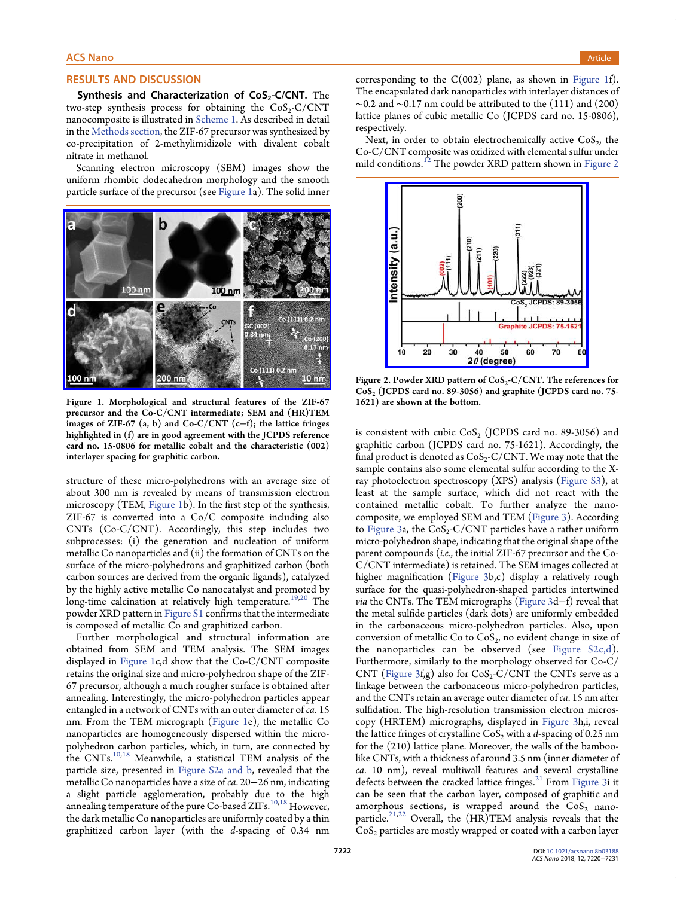#### <span id="page-2-0"></span>RESULTS AND DISCUSSION

Synthesis and Characterization of  $CoS<sub>2</sub>-C/CNT$ . The two-step synthesis process for obtaining the  $CoS_2-C/CNT$ nanocomposite is illustrated in [Scheme 1](#page-1-0). As described in detail in the [Methods section](#page-9-0), the ZIF-67 precursor was synthesized by co-precipitation of 2-methylimidizole with divalent cobalt nitrate in methanol.

Scanning electron microscopy (SEM) images show the uniform rhombic dodecahedron morphology and the smooth particle surface of the precursor (see Figure 1a). The solid inner



Figure 1. Morphological and structural features of the ZIF-67 precursor and the Co-C/CNT intermediate; SEM and (HR)TEM images of ZIF-67 (a, b) and  $Co-C/CNT$  (c−f); the lattice fringes highlighted in (f) are in good agreement with the JCPDS reference card no. 15-0806 for metallic cobalt and the characteristic (002) interlayer spacing for graphitic carbon.

structure of these micro-polyhedrons with an average size of about 300 nm is revealed by means of transmission electron microscopy (TEM, Figure 1b). In the first step of the synthesis, ZIF-67 is converted into a Co/C composite including also CNTs (Co-C/CNT). Accordingly, this step includes two subprocesses: (i) the generation and nucleation of uniform metallic Co nanoparticles and (ii) the formation of CNTs on the surface of the micro-polyhedrons and graphitized carbon (both carbon sources are derived from the organic ligands), catalyzed by the highly active metallic Co nanocatalyst and promoted by long-time calcination at relatively high temperature.<sup>[19](#page-10-0),[20](#page-11-0)</sup> The powder XRD pattern in [Figure S1](http://pubs.acs.org/doi/suppl/10.1021/acsnano.8b03188/suppl_file/nn8b03188_si_001.pdf) confirms that the intermediate is composed of metallic Co and graphitized carbon.

Further morphological and structural information are obtained from SEM and TEM analysis. The SEM images displayed in Figure 1c,d show that the Co-C/CNT composite retains the original size and micro-polyhedron shape of the ZIF-67 precursor, although a much rougher surface is obtained after annealing. Interestingly, the micro-polyhedron particles appear entangled in a network of CNTs with an outer diameter of ca. 15 nm. From the TEM micrograph (Figure 1e), the metallic Co nanoparticles are homogeneously dispersed within the micropolyhedron carbon particles, which, in turn, are connected by the CNTs.[10,18](#page-10-0) Meanwhile, a statistical TEM analysis of the particle size, presented in [Figure S2a and b,](http://pubs.acs.org/doi/suppl/10.1021/acsnano.8b03188/suppl_file/nn8b03188_si_001.pdf) revealed that the metallic Co nanoparticles have a size of ca. 20−26 nm, indicating a slight particle agglomeration, probably due to the high annealing temperature of the pure Co-based ZIFs.<sup>[10](#page-10-0),[18](#page-10-0)</sup> However, the dark metallic Co nanoparticles are uniformly coated by a thin graphitized carbon layer (with the d-spacing of 0.34 nm

corresponding to the  $C(002)$  plane, as shown in Figure 1f). The encapsulated dark nanoparticles with interlayer distances of  $\sim$ 0.2 and  $\sim$ 0.17 nm could be attributed to the (111) and (200) lattice planes of cubic metallic Co (JCPDS card no. 15-0806), respectively.

Next, in order to obtain electrochemically active  $CoS<sub>2</sub>$ , the Co-C/CNT composite was oxidized with elemental sulfur under mild conditions.<sup>12</sup> [The powder XRD pattern shown in](#page-10-0) Figure 2



Figure 2. Powder XRD pattern of  $CoS_2-C/CNT$ . The references for CoS<sub>2</sub> (JCPDS card no. 89-3056) and graphite (JCPDS card no. 75-1621) are shown at the bottom.

is consistent with cubic  $\cos_2$  (JCPDS card no. 89-3056) and graphitic carbon (JCPDS card no. 75-1621). Accordingly, the final product is denoted as  $CoS_2-C/CNT$ . We may note that the sample contains also some elemental sulfur according to the Xray photoelectron spectroscopy (XPS) analysis [\(Figure S3](http://pubs.acs.org/doi/suppl/10.1021/acsnano.8b03188/suppl_file/nn8b03188_si_001.pdf)), at least at the sample surface, which did not react with the contained metallic cobalt. To further analyze the nanocomposite, we employed SEM and TEM [\(Figure 3\)](#page-3-0). According to [Figure 3a](#page-3-0), the  $CoS_2-C/CNT$  particles have a rather uniform micro-polyhedron shape, indicating that the original shape of the parent compounds (i.e., the initial ZIF-67 precursor and the Co-C/CNT intermediate) is retained. The SEM images collected at higher magnification [\(Figure 3b](#page-3-0),c) display a relatively rough surface for the quasi-polyhedron-shaped particles intertwined via the CNTs. The TEM micrographs [\(Figure 3d](#page-3-0)−f) reveal that the metal sulfide particles (dark dots) are uniformly embedded in the carbonaceous micro-polyhedron particles. Also, upon conversion of metallic Co to  $CoS<sub>2</sub>$ , no evident change in size of the nanoparticles can be observed (see [Figure S2c,d](http://pubs.acs.org/doi/suppl/10.1021/acsnano.8b03188/suppl_file/nn8b03188_si_001.pdf)). Furthermore, similarly to the morphology observed for Co-C/ CNT ([Figure 3](#page-3-0)f,g) also for  $CoS_2-C/CNT$  the CNTs serve as a linkage between the carbonaceous micro-polyhedron particles, and the CNTs retain an average outer diameter of ca. 15 nm after sulfidation. The high-resolution transmission electron microscopy (HRTEM) micrographs, displayed in [Figure 3](#page-3-0)h,i, reveal the lattice fringes of crystalline  $CoS_2$  with a d-spacing of 0.25 nm for the (210) lattice plane. Moreover, the walls of the bamboolike CNTs, with a thickness of around 3.5 nm (inner diameter of ca. 10 nm), reveal multiwall features and several crystalline defects between the cracked lattice fringes.<sup>21</sup> [From](#page-11-0) [Figure 3i](#page-3-0) it can be seen that the carbon layer, composed of graphitic and amorphous sections, is wrapped around the  $CoS<sub>2</sub>$  nano-particle.<sup>[21,22](#page-11-0)</sup> Overall, the  $(H\hat{R})$ TEM analysis reveals that the  $\cos_2$  particles are mostly wrapped or coated with a carbon layer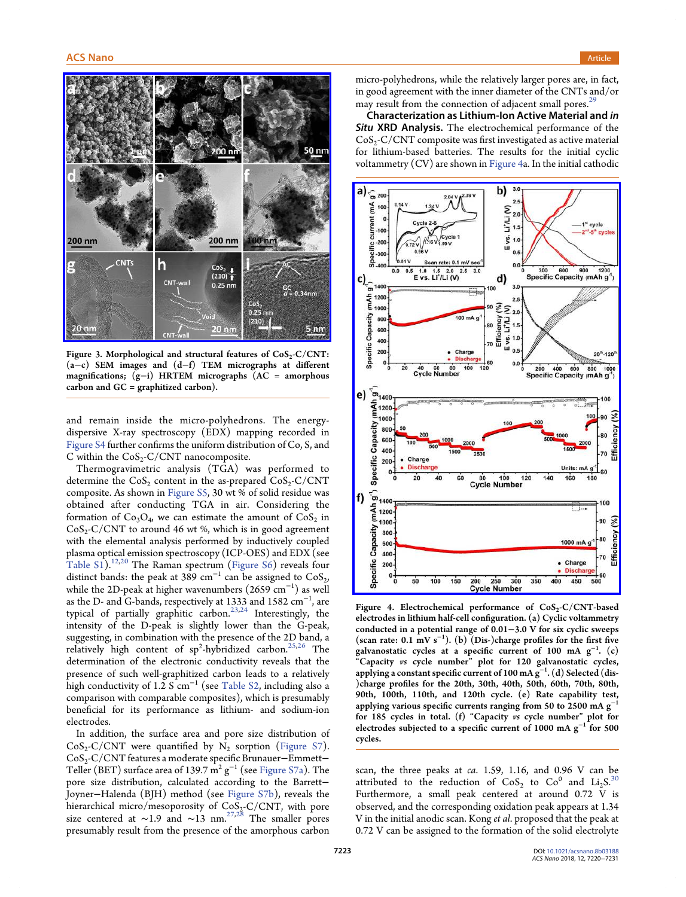<span id="page-3-0"></span>

Figure 3. Morphological and structural features of  $CoS_2-C/CNT$ : (a−c) SEM images and (d−f) TEM micrographs at different magnifications; (g−i) HRTEM micrographs (AC = amorphous carbon and  $GC =$  graphitized carbon).

and remain inside the micro-polyhedrons. The energydispersive X-ray spectroscopy (EDX) mapping recorded in [Figure S4](http://pubs.acs.org/doi/suppl/10.1021/acsnano.8b03188/suppl_file/nn8b03188_si_001.pdf) further confirms the uniform distribution of Co, S, and C within the  $CoS_2-C/CNT$  nanocomposite.

Thermogravimetric analysis (TGA) was performed to determine the CoS<sub>2</sub> content in the as-prepared  $CoS<sub>2</sub>-C/CNT$ composite. As shown in [Figure S5](http://pubs.acs.org/doi/suppl/10.1021/acsnano.8b03188/suppl_file/nn8b03188_si_001.pdf), 30 wt % of solid residue was obtained after conducting TGA in air. Considering the formation of  $Co_3O_4$ , we can estimate the amount of  $Co_5$  in  $CoS_2-C/CNT$  to around 46 wt %, which is in good agreement with the elemental analysis performed by inductively coupled plasma optical emission spectroscopy (ICP-OES) and EDX (see [Table S1](http://pubs.acs.org/doi/suppl/10.1021/acsnano.8b03188/suppl_file/nn8b03188_si_001.pdf)).[12](#page-10-0),[20](#page-11-0) The Raman spectrum [\(Figure S6\)](http://pubs.acs.org/doi/suppl/10.1021/acsnano.8b03188/suppl_file/nn8b03188_si_001.pdf) reveals four distinct bands: the peak at 389 cm<sup>-1</sup> can be assigned to  $CoS<sub>2</sub>$ , while the 2D-peak at higher wavenumbers  $(2659 \ \mathrm{cm^{-1}})$  as well as the D- and G-bands, respectively at 1333 and 1582  $\rm cm^{-1}$ , are typical of partially graphitic carbon.<sup>[23](#page-11-0),[24](#page-11-0)</sup> Interestingly, the intensity of the D-peak is slightly lower than the G-peak, suggesting, in combination with the presence of the 2D band, a relatively high content of sp<sup>2</sup>-hybridized carbon.<sup>[25,26](#page-11-0)</sup> The determination of the electronic conductivity reveals that the presence of such well-graphitized carbon leads to a relatively high conductivity of 1.2  $S$  cm<sup>-1</sup> (see [Table S2](http://pubs.acs.org/doi/suppl/10.1021/acsnano.8b03188/suppl_file/nn8b03188_si_001.pdf), including also a comparison with comparable composites), which is presumably beneficial for its performance as lithium- and sodium-ion electrodes.

In addition, the surface area and pore size distribution of  $CoS_2-C/CNT$  were quantified by  $N_2$  sorption ([Figure S7](http://pubs.acs.org/doi/suppl/10.1021/acsnano.8b03188/suppl_file/nn8b03188_si_001.pdf)). CoS2-C/CNT features a moderate specific Brunauer−Emmett− Teller (BET) surface area of 139.7  $\text{m}^2$  g<sup>-1</sup> (see [Figure S7a\)](http://pubs.acs.org/doi/suppl/10.1021/acsnano.8b03188/suppl_file/nn8b03188_si_001.pdf). The pore size distribution, calculated according to the Barrett− Joyner−Halenda (BJH) method (see [Figure S7b\)](http://pubs.acs.org/doi/suppl/10.1021/acsnano.8b03188/suppl_file/nn8b03188_si_001.pdf), reveals the hierarchical micro/mesoporosity of  $\text{CoS}_2\text{-C/CNT}$ , with pore size centered at ~1.9 and ~13 nm.<sup>[27,28](#page-11-0)</sup> The smaller pores presumably result from the presence of the amorphous carbon

micro-polyhedrons, while the relatively larger pores are, in fact, in good agreement with the inner diameter of the CNTs and/or may result from the connection of adjacent small pores. $2^{2}$ 

Characterization as Lithium-Ion Active Material and in Situ XRD Analysis. The electrochemical performance of the  $CoS<sub>2</sub>-C/CNT$  composite was first investigated as active material for lithium-based batteries. The results for the initial cyclic voltammetry (CV) are shown in Figure 4a. In the initial cathodic



Figure 4. Electrochemical performance of  $CoS_2-C/CNT$ -based electrodes in lithium half-cell configuration. (a) Cyclic voltammetry conducted in a potential range of 0.01−3.0 V for six cyclic sweeps (scan rate:  $0.1 \text{ mV s}^{-1}$ ). (b) (Dis-)charge profiles for the first five galvanostatic cycles at a specific current of 100 mA  $g^{-1}$ . (c) "Capacity vs cycle number" plot for 120 galvanostatic cycles, applying a constant specific current of 100 mA g<sup>-1</sup>. (d) Selected (dis-)charge profiles for the 20th, 30th, 40th, 50th, 60th, 70th, 80th, 90th, 100th, 110th, and 120th cycle. (e) Rate capability test, applying various specific currents ranging from 50 to 2500 mA g<sup>-1</sup> for 185 cycles in total. (f) "Capacity vs cycle number" plot for electrodes subjected to a specific current of 1000 mA  $g^{-1}$  for 500 cycles.

scan, the three peaks at ca. 1.59, 1.16, and 0.96 V can be attributed to the reduction of  $CoS_2$  to  $Co<sup>0</sup>$  and  $Li<sub>2</sub>S<sup>30</sup>$  $Li<sub>2</sub>S<sup>30</sup>$  $Li<sub>2</sub>S<sup>30</sup>$ Furthermore, a small peak centered at around 0.72 V is observed, and the corresponding oxidation peak appears at 1.34 V in the initial anodic scan. Kong et al. proposed that the peak at 0.72 V can be assigned to the formation of the solid electrolyte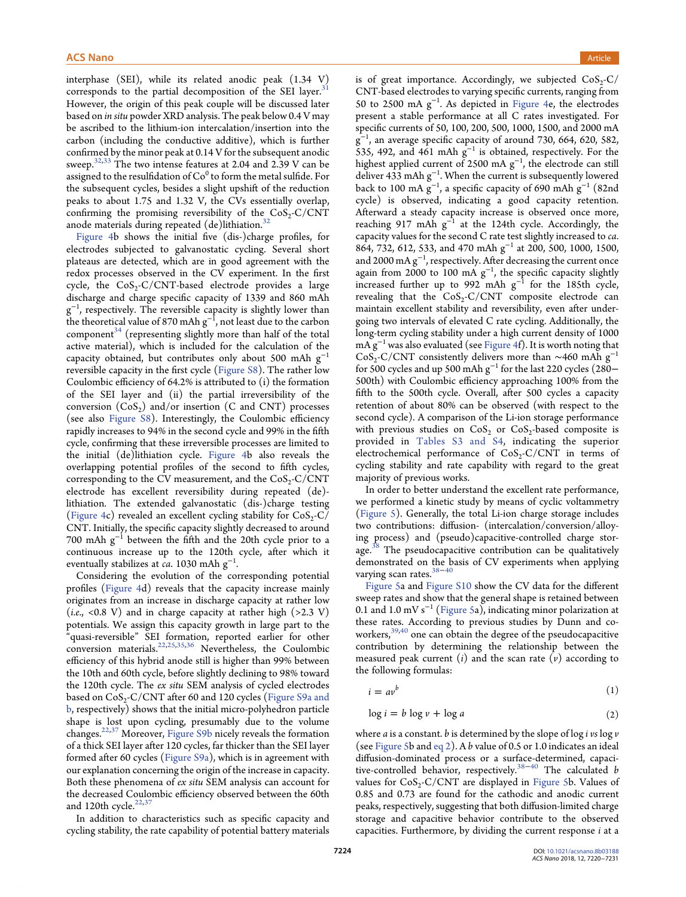<span id="page-4-0"></span>interphase (SEI), while its related anodic peak (1.34 V) corresponds to the partial decomposition of the SEI layer. $31$ However, the origin of this peak couple will be discussed later based on in situ powder XRD analysis. The peak below 0.4 V may be ascribed to the lithium-ion intercalation/insertion into the carbon (including the conductive additive), which is further confirmed by the minor peak at 0.14 V for the subsequent anodic sweep.<sup>[32,33](#page-11-0)</sup> The two intense features at 2.04 and 2.39 V can be assigned to the resulfidation of  $Co^0$  to form the metal sulfide. For the subsequent cycles, besides a slight upshift of the reduction peaks to about 1.75 and 1.32 V, the CVs essentially overlap, confirming the promising reversibility of the  $CoS_2-C/CNT$ anode materials during repeated  $(de)$ lithiation.<sup>[32](#page-11-0)</sup>

[Figure 4b](#page-3-0) shows the initial five (dis-)charge profiles, for electrodes subjected to galvanostatic cycling. Several short plateaus are detected, which are in good agreement with the redox processes observed in the CV experiment. In the first cycle, the  $CoS_2-C/CNT$ -based electrode provides a large discharge and charge specific capacity of 1339 and 860 mAh  $\rm g^{-1}$ , respectively. The reversible capacity is slightly lower than the theoretical value of 870 mAh  $g^{-1}$ , not least due to the carbon component $34$  [\(representing slightly more than half of the total](#page-11-0) active material), which is included for the calculation of the capacity obtained, but contributes only about 500 mAh  $g^{-1}$ reversible capacity in the first cycle ([Figure S8](http://pubs.acs.org/doi/suppl/10.1021/acsnano.8b03188/suppl_file/nn8b03188_si_001.pdf)). The rather low Coulombic efficiency of 64.2% is attributed to (i) the formation of the SEI layer and (ii) the partial irreversibility of the conversion  $(CoS<sub>2</sub>)$  and/or insertion (C and CNT) processes (see also [Figure S8\)](http://pubs.acs.org/doi/suppl/10.1021/acsnano.8b03188/suppl_file/nn8b03188_si_001.pdf). Interestingly, the Coulombic efficiency rapidly increases to 94% in the second cycle and 99% in the fifth cycle, confirming that these irreversible processes are limited to the initial (de)lithiation cycle. [Figure 4](#page-3-0)b also reveals the overlapping potential profiles of the second to fifth cycles, corresponding to the CV measurement, and the  $CoS_2-C/CNT$ electrode has excellent reversibility during repeated (de) lithiation. The extended galvanostatic (dis-)charge testing ([Figure 4c](#page-3-0)) revealed an excellent cycling stability for  $CoS_2-C$ / CNT. Initially, the specific capacity slightly decreased to around 700 mAh  $g^{-1}$  between the fifth and the 20th cycle prior to a continuous increase up to the 120th cycle, after which it eventually stabilizes at *ca*. 1030 mAh  $\rm g^{-1}$ .

Considering the evolution of the corresponding potential profiles [\(Figure 4](#page-3-0)d) reveals that the capacity increase mainly originates from an increase in discharge capacity at rather low (*i.e.*, <0.8 V) and in charge capacity at rather high (>2.3 V) potentials. We assign this capacity growth in large part to the "quasi-reversible" SEI formation, reported earlier for other conversion materials[.22](#page-11-0),[25,35,36](#page-11-0) Nevertheless, the Coulombic efficiency of this hybrid anode still is higher than 99% between the 10th and 60th cycle, before slightly declining to 98% toward the 120th cycle. The ex situ SEM analysis of cycled electrodes based on  $CoS_2-C/CNT$  after 60 and 120 cycles [\(Figure S9a and](http://pubs.acs.org/doi/suppl/10.1021/acsnano.8b03188/suppl_file/nn8b03188_si_001.pdf) [b](http://pubs.acs.org/doi/suppl/10.1021/acsnano.8b03188/suppl_file/nn8b03188_si_001.pdf), respectively) shows that the initial micro-polyhedron particle shape is lost upon cycling, presumably due to the volume changes.[22,37](#page-11-0) Moreover, [Figure S9b](http://pubs.acs.org/doi/suppl/10.1021/acsnano.8b03188/suppl_file/nn8b03188_si_001.pdf) nicely reveals the formation of a thick SEI layer after 120 cycles, far thicker than the SEI layer formed after 60 cycles [\(Figure S9a\)](http://pubs.acs.org/doi/suppl/10.1021/acsnano.8b03188/suppl_file/nn8b03188_si_001.pdf), which is in agreement with our explanation concerning the origin of the increase in capacity. Both these phenomena of ex situ SEM analysis can account for the decreased Coulombic efficiency observed between the 60th and 120th cycle. $22,37$  $22,37$  $22,37$ 

is of great importance. Accordingly, we subjected  $CoS_2-C$ CNT-based electrodes to varying specific currents, ranging from 50 to 2500 mA g<sup>-1</sup>. As depicted in [Figure 4](#page-3-0)e, the electrodes present a stable performance at all C rates investigated. For specific currents of 50, 100, 200, 500, 1000, 1500, and 2000 mA  $g^{-1}$ , an average specific capacity of around 730, 664, 620, 582, 535, 492, and 461 mAh  $g^{-1}$  is obtained, respectively. For the highest applied current of 2500 mA  $\rm g^{-1}$ , the electrode can still deliver 433 mAh  $g^{-1}$ . When the current is subsequently lowered back to 100 mA  $\rm g^{-1}$ , a specific capacity of 690 mAh  $\rm g^{-1}$  (82nd cycle) is observed, indicating a good capacity retention. Afterward a steady capacity increase is observed once more, reaching 917 mAh g<sup>-1</sup> at the 124th cycle. Accordingly, the capacity values for the second C rate test slightly increased to ca. 864, 732, 612, 533, and 470 mAh g<sup>-1</sup> at 200, 500, 1000, 1500, and 2000 mA  $\rm g^{-1}$ , respectively. After decreasing the current once again from 2000 to 100 mA  $g^{-1}$ , the specific capacity slightly increased further up to 992 mAh  $g^{-1}$  for the 185th cycle, revealing that the  $CoS_2-C/CNT$  composite electrode can maintain excellent stability and reversibility, even after undergoing two intervals of elevated C rate cycling. Additionally, the long-term cycling stability under a high current density of 1000 mA g<sup>-1</sup> was also evaluated (see [Figure 4f](#page-3-0)). It is worth noting that  $CoS_2-C/CNT$  consistently delivers more than ~460 mAh g<sup>-1</sup> for 500 cycles and up 500 mAh g<sup>−</sup><sup>1</sup> for the last 220 cycles (280− 500th) with Coulombic efficiency approaching 100% from the fifth to the 500th cycle. Overall, after 500 cycles a capacity retention of about 80% can be observed (with respect to the second cycle). A comparison of the Li-ion storage performance with previous studies on  $CoS_2$  or  $CoS_2$ -based composite is provided in [Tables S3 and S4](http://pubs.acs.org/doi/suppl/10.1021/acsnano.8b03188/suppl_file/nn8b03188_si_001.pdf), indicating the superior electrochemical performance of  $CoS_2-C/CNT$  in terms of cycling stability and rate capability with regard to the great majority of previous works.

In order to better understand the excellent rate performance, we performed a kinetic study by means of cyclic voltammetry ([Figure 5\)](#page-5-0). Generally, the total Li-ion charge storage includes two contributions: diffusion- (intercalation/conversion/alloying process) and (pseudo)capacitive-controlled charge stor-age.<sup>38</sup> [The pseudocapacitive contribution can be qualitatively](#page-11-0) demonstrated on the basis of CV experiments when applying varying scan rates.<sup>[38](#page-11-0)−[40](#page-11-0)</sup>

[Figure 5](#page-5-0)a and [Figure S10](http://pubs.acs.org/doi/suppl/10.1021/acsnano.8b03188/suppl_file/nn8b03188_si_001.pdf) show the CV data for the different sweep rates and show that the general shape is retained between 0.1 and 1.0 mV s<sup>−</sup><sup>1</sup> ([Figure 5a](#page-5-0)), indicating minor polarization at these rates. According to previous studies by Dunn and co-workers,<sup>[39,40](#page-11-0)</sup> one can obtain the degree of the pseudocapacitive contribution by determining the relationship between the measured peak current  $(i)$  and the scan rate  $(v)$  according to the following formulas:

$$
i = av^b \tag{1}
$$

$$
\log i = b \log v + \log a \tag{2}
$$

where *a* is a constant. *b* is determined by the slope of log *i* vs log  $\nu$ (see [Figure 5](#page-5-0)b and eq 2). A b value of 0.5 or 1.0 indicates an ideal diffusion-dominated process or a surface-determined, capaci-tive-controlled behavior, respectively.<sup>[38](#page-11-0)−[40](#page-11-0)</sup> The calculated b values for  $CoS_2-C/CNT$  are displayed in [Figure 5b](#page-5-0). Values of 0.85 and 0.73 are found for the cathodic and anodic current peaks, respectively, suggesting that both diffusion-limited charge storage and capacitive behavior contribute to the observed capacities. Furthermore, by dividing the current response  $i$  at a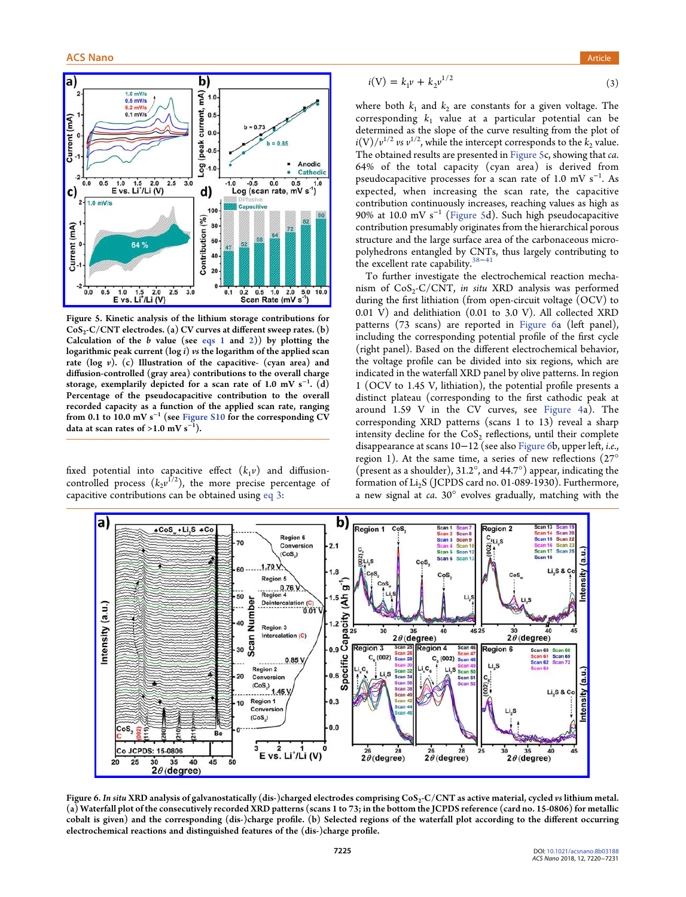<span id="page-5-0"></span>

Figure 5. Kinetic analysis of the lithium storage contributions for CoS<sub>2</sub>-C/CNT electrodes. (a) CV curves at different sweep rates. (b) Calculation of the  $b$  value (see [eqs 1](#page-4-0) and [2\)](#page-4-0)) by plotting the logarithmic peak current (log  $i$ ) vs the logarithm of the applied scan rate (log  $v$ ). (c) Illustration of the capacitive- (cyan area) and diffusion-controlled (gray area) contributions to the overall charge storage, exemplarily depicted for a scan rate of 1.0 mV  $\mathrm{s}^{-1}.$  (d) Percentage of the pseudocapacitive contribution to the overall recorded capacity as a function of the applied scan rate, ranging from 0.1 to 10.0 mV s<sup>−</sup><sup>1</sup> (see [Figure S10](http://pubs.acs.org/doi/suppl/10.1021/acsnano.8b03188/suppl_file/nn8b03188_si_001.pdf) for the corresponding CV data at scan rates of >1.0 mV  $s^{-1}$ ).

fixed potential into capacitive effect  $(k_1\nu)$  and diffusioncontrolled process  $(k_2v^{1/2})$ , the more precise percentage of capacitive contributions can be obtained using eq 3:

$$
i(V) = k_1 v + k_2 v^{1/2}
$$
 (3)

where both  $k_1$  and  $k_2$  are constants for a given voltage. The corresponding  $k_1$  value at a particular potential can be determined as the slope of the curve resulting from the plot of  $i(V)/v^{1/2}$  vs  $v^{1/2}$ , while the intercept corresponds to the  $k_2$  value. The obtained results are presented in Figure 5c, showing that ca. 64% of the total capacity (cyan area) is derived from pseudocapacitive processes for a scan rate of  $1.0 \text{ mV s}^{-1}$ . As expected, when increasing the scan rate, the capacitive contribution continuously increases, reaching values as high as 90% at 10.0 mV s<sup>-1</sup> (Figure 5d). Such high pseudocapacitive contribution presumably originates from the hierarchical porous structure and the large surface area of the carbonaceous micropolyhedrons entangled by CNTs, thus largely contributing to the excellent rate capability. $3$ 

To further investigate the electrochemical reaction mechanism of  $CoS_2-C/CNT$ , in situ XRD analysis was performed during the first lithiation (from open-circuit voltage (OCV) to 0.01 V) and delithiation (0.01 to 3.0 V). All collected XRD patterns (73 scans) are reported in Figure 6a (left panel), including the corresponding potential profile of the first cycle (right panel). Based on the different electrochemical behavior, the voltage profile can be divided into six regions, which are indicated in the waterfall XRD panel by olive patterns. In region 1 (OCV to 1.45 V, lithiation), the potential profile presents a distinct plateau (corresponding to the first cathodic peak at around 1.59 V in the CV curves, see [Figure 4](#page-3-0)a). The corresponding XRD patterns (scans 1 to 13) reveal a sharp intensity decline for the  $CoS<sub>2</sub>$  reflections, until their complete disappearance at scans 10−12 (see also Figure 6b, upper left, i.e., region 1). At the same time, a series of new reflections (27° (present as a shoulder), 31.2°, and 44.7°) appear, indicating the formation of  $Li<sub>2</sub>S$  (JCPDS card no. 01-089-1930). Furthermore, a new signal at ca. 30° evolves gradually, matching with the



Figure 6. In situ XRD analysis of galvanostatically (dis-)charged electrodes comprising CoS<sub>2</sub>-C/CNT as active material, cycled vs lithium metal. (a) Waterfall plot of the consecutively recorded XRD patterns (scans 1 to 73; in the bottom the JCPDS reference (card no. 15-0806) for metallic cobalt is given) and the corresponding (dis-)charge profile. (b) Selected regions of the waterfall plot according to the different occurring electrochemical reactions and distinguished features of the (dis-)charge profile.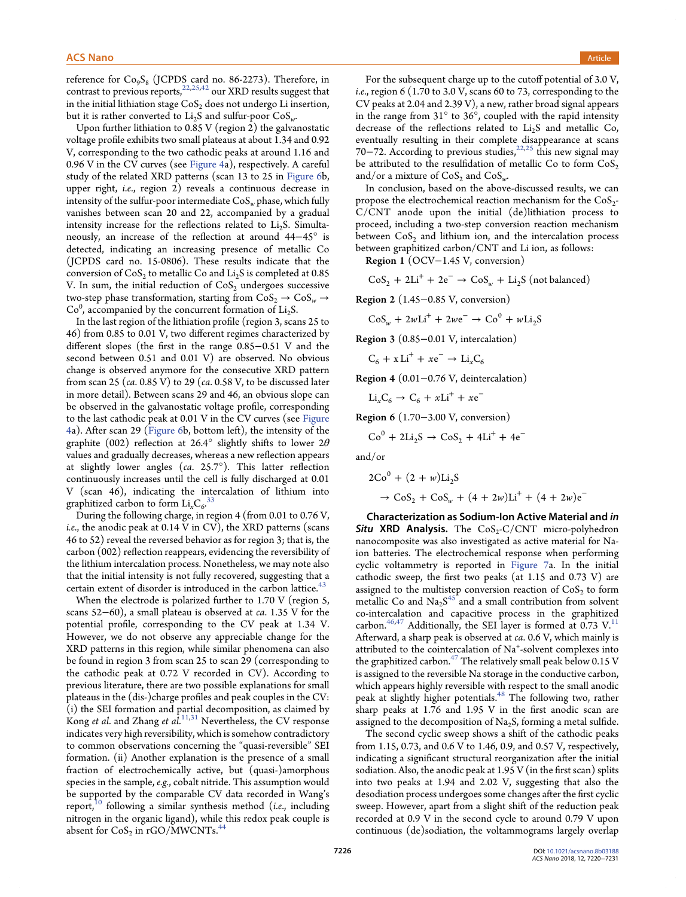reference for  $Co<sub>9</sub>S<sub>8</sub>$  (JCPDS card no. 86-2273). Therefore, in contrast to previous reports,  $22,25,42$  $22,25,42$  $22,25,42$  $22,25,42$  our XRD results suggest that in the initial lithiation stage  $CoS<sub>2</sub>$  does not undergo Li insertion, but it is rather converted to  $Li<sub>2</sub>S$  and sulfur-poor  $CoS<sub>w</sub>$ .

Upon further lithiation to 0.85 V (region 2) the galvanostatic voltage profile exhibits two small plateaus at about 1.34 and 0.92 V, corresponding to the two cathodic peaks at around 1.16 and 0.96 V in the CV curves (see [Figure 4a](#page-3-0)), respectively. A careful study of the related XRD patterns (scan 13 to 25 in [Figure 6b](#page-5-0), upper right, i.e., region 2) reveals a continuous decrease in intensity of the sulfur-poor intermediate  $\cos_w$  phase, which fully vanishes between scan 20 and 22, accompanied by a gradual intensity increase for the reflections related to  $Li<sub>2</sub>S$ . Simultaneously, an increase of the reflection at around 44−45° is detected, indicating an increasing presence of metallic Co (JCPDS card no. 15-0806). These results indicate that the conversion of  $CoS_2$  to metallic Co and  $Li_2S$  is completed at 0.85 V. In sum, the initial reduction of  $CoS<sub>2</sub>$  undergoes successive two-step phase transformation, starting from  $\text{CoS}_2 \rightarrow \text{CoS}_w \rightarrow$  $Co<sup>0</sup>$ , accompanied by the concurrent formation of Li<sub>2</sub>S.

In the last region of the lithiation profile (region 3, scans 25 to 46) from 0.85 to 0.01 V, two different regimes characterized by different slopes (the first in the range 0.85−0.51 V and the second between 0.51 and 0.01 V) are observed. No obvious change is observed anymore for the consecutive XRD pattern from scan 25 (ca. 0.85 V) to 29 (ca. 0.58 V, to be discussed later in more detail). Between scans 29 and 46, an obvious slope can be observed in the galvanostatic voltage profile, corresponding to the last cathodic peak at 0.01 V in the CV curves (see [Figure](#page-3-0) [4](#page-3-0)a). After scan 29 [\(Figure 6](#page-5-0)b, bottom left), the intensity of the graphite (002) reflection at 26.4° slightly shifts to lower  $2\theta$ values and gradually decreases, whereas a new reflection appears at slightly lower angles (ca. 25.7°). This latter reflection continuously increases until the cell is fully discharged at 0.01 V (scan 46), indicating the intercalation of lithium into graphitized carbon to form  $Li_xC_6$ .<sup>[33](#page-11-0)</sup>

During the following charge, in region 4 (from 0.01 to 0.76 V, i.e., the anodic peak at 0.14 V in CV), the XRD patterns (scans 46 to 52) reveal the reversed behavior as for region 3; that is, the carbon (002) reflection reappears, evidencing the reversibility of the lithium intercalation process. Nonetheless, we may note also that the initial intensity is not fully recovered, suggesting that a certain extent of disorder is introduced in the carbon lattice.<sup>[43](#page-11-0)</sup>

When the electrode is polarized further to 1.70 V (region 5, scans 52−60), a small plateau is observed at *ca*. 1.35 V for the potential profile, corresponding to the CV peak at 1.34 V. However, we do not observe any appreciable change for the XRD patterns in this region, while similar phenomena can also be found in region 3 from scan 25 to scan 29 (corresponding to the cathodic peak at 0.72 V recorded in CV). According to previous literature, there are two possible explanations for small plateaus in the (dis-)charge profiles and peak couples in the CV: (i) the SEI formation and partial decomposition, as claimed by Kong et al. and Zhang et  $a\hat{l}$ .<sup>[11](#page-10-0),[31](#page-11-0)</sup> Nevertheless, the CV response indicates very high reversibility, which is somehow contradictory to common observations concerning the "quasi-reversible" SEI formation. (ii) Another explanation is the presence of a small fraction of electrochemically active, but (quasi-)amorphous species in the sample, e.g., cobalt nitride. This assumption would be supported by the comparable CV data recorded in Wang's report,<sup>10</sup> [following a similar synthesis method \(](#page-10-0)*i.e.*, including nitrogen in the organic ligand), while this redox peak couple is absent for  $CoS_2$  in rGO/MWCNTs.<sup>[44](#page-11-0)</sup>

For the subsequent charge up to the cutoff potential of 3.0 V, i.e., region 6 (1.70 to 3.0 V, scans 60 to 73, corresponding to the CV peaks at 2.04 and 2.39 V), a new, rather broad signal appears in the range from 31° to 36°, coupled with the rapid intensity decrease of the reflections related to  $Li<sub>2</sub>S$  and metallic Co, eventually resulting in their complete disappearance at scans 70−72. According to previous studies,<sup>[22,25](#page-11-0)</sup> this new signal may be attributed to the resulfidation of metallic Co to form  $CoS<sub>2</sub>$ and/or a mixture of  $CoS_2$  and  $CoS_w$ .

In conclusion, based on the above-discussed results, we can propose the electrochemical reaction mechanism for the CoS<sub>2</sub>-C/CNT anode upon the initial (de)lithiation process to proceed, including a two-step conversion reaction mechanism between CoS<sub>2</sub> and lithium ion, and the intercalation process between graphitized carbon/CNT and Li ion, as follows:

Region 1 (OCV−1.45 V, conversion)

 $\cos_2$  +  $2Li^+$  +  $2e^ \rightarrow$   $\cos_{\omega}$  +  $Li_2S$  (not balanced)

Region 2 (1.45−0.85 V, conversion)

 $\cos_{w} + 2wLi^{+} + 2we^{-} \rightarrow \cos^{0} + wLi_{2}S$ 

Region 3 (0.85−0.01 V, intercalation)

$$
C_6 + x Li^+ + xe^- \rightarrow Li_x C_6
$$

Region 4 (0.01−0.76 V, deintercalation)

$$
Li_xC_6 \rightarrow C_6 + xLi^+ + xe^-
$$

Region 6 (1.70−3.00 V, conversion)

$$
Co^{0} + 2Li_{2}S \rightarrow CoS_{2} + 4Li^{+} + 4e^{-}
$$

and/or

$$
2Co0 + (2 + w)Li2S \n\rightarrow CoS2 + CoSw + (4 + 2w)Li+ + (4 + 2w)e-
$$

Characterization as Sodium-Ion Active Material and in Situ XRD Analysis. The  $CoS_2-C/CNT$  micro-polyhedron nanocomposite was also investigated as active material for Naion batteries. The electrochemical response when performing cyclic voltammetry is reported in [Figure 7a](#page-7-0). In the initial cathodic sweep, the first two peaks (at 1.15 and 0.73 V) are assigned to the multistep conversion reaction of  $CoS<sub>2</sub>$  to form metallic Co and  $\text{Na}_2\text{S}^{45}$  [and a small contribution from solvent](#page-11-0) co-intercalation and capacitive process in the graphitized carbon.<sup>[46,47](#page-11-0)</sup> Additionally, the SEI layer is formed at 0.73 V.<sup>[11](#page-10-0)</sup> Afterward, a sharp peak is observed at ca. 0.6 V, which mainly is attributed to the cointercalation of Na<sup>+</sup>-solvent complexes into the graphitized carbon.<sup>47</sup> The relatively small peak below  $0.15$  V is assigned to the reversible Na storage in the conductive carbon, which appears highly reversible with respect to the small anodic peak at slightly higher potentials.<sup>48</sup> [The following two, rather](#page-11-0) sharp peaks at 1.76 and 1.95 V in the first anodic scan are assigned to the decomposition of  $Na<sub>2</sub>S$ , forming a metal sulfide.

The second cyclic sweep shows a shift of the cathodic peaks from 1.15, 0.73, and 0.6 V to 1.46, 0.9, and 0.57 V, respectively, indicating a significant structural reorganization after the initial sodiation. Also, the anodic peak at 1.95 V (in the first scan) splits into two peaks at 1.94 and 2.02 V, suggesting that also the desodiation process undergoes some changes after the first cyclic sweep. However, apart from a slight shift of the reduction peak recorded at 0.9 V in the second cycle to around 0.79 V upon continuous (de)sodiation, the voltammograms largely overlap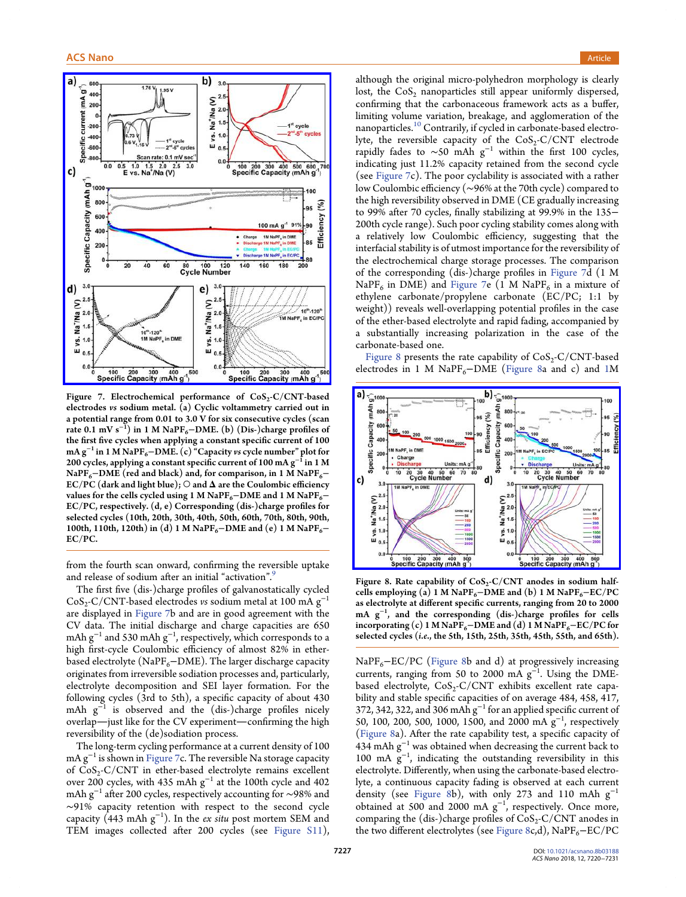<span id="page-7-0"></span>

Figure 7. Electrochemical performance of  $CoS_2-C/CNT$ -based electrodes vs sodium metal. (a) Cyclic voltammetry carried out in a potential range from 0.01 to 3.0 V for six consecutive cycles (scan rate 0.1 mV s<sup>−1</sup>) in 1 M NaPF<sub>6</sub>−DME. (b) (Dis-)charge profiles of the first five cycles when applying a constant specific current of 100 mA g<sup>-1</sup> in 1 M NaPF<sub>6</sub>–DME. (c) "Capacity vs cycle number" plot for 200 cycles, applying a constant specific current of 100 mA  $g^{-1}$  in 1 M NaPF<sub>6</sub>−DME (red and black) and, for comparison, in 1 M NaPF<sub>6</sub>− EC/PC (dark and light blue);  $\bigcirc$  and  $\Delta$  are the Coulombic efficiency values for the cells cycled using 1 M NaPF<sub>6</sub>−DME and 1 M NaPF<sub>6</sub>− EC/PC, respectively. (d, e) Corresponding (dis-)charge profiles for selected cycles (10th, 20th, 30th, 40th, 50th, 60th, 70th, 80th, 90th, 100th, 110th, 120th) in (d) 1 M NaPF<sub>6</sub> $-DME$  and (e) 1 M NaPF<sub>6</sub> $-$ EC/PC.

from the fourth scan onward, confirming the reversible uptake and release of sodium after an initial "activation".<sup>[9](#page-10-0)</sup>

The first five (dis-)charge profiles of galvanostatically cycled  $CoS_2-C/CNT$ -based electrodes vs sodium metal at 100 mA  $g^{-1}$ are displayed in Figure 7b and are in good agreement with the CV data. The initial discharge and charge capacities are 650 mAh  $\rm g^{-1}$  and 530 mAh  $\rm g^{-1}$ , respectively, which corresponds to a high first-cycle Coulombic efficiency of almost 82% in etherbased electrolyte (NaPF $_6$ −DME). The larger discharge capacity originates from irreversible sodiation processes and, particularly, electrolyte decomposition and SEI layer formation. For the following cycles (3rd to 5th), a specific capacity of about 430 mAh  $g^{-1}$  is observed and the (dis-)charge profiles nicely overlap-just like for the CV experiment-confirming the high reversibility of the (de)sodiation process.

The long-term cycling performance at a current density of 100 mA  $g^{-1}$  is shown in Figure 7c. The reversible Na storage capacity of  $CoS_2-C/CNT$  in ether-based electrolyte remains excellent over 200 cycles, with 435 mAh g<sup>−</sup><sup>1</sup> at the 100th cycle and 402 mAh g<sup>−</sup><sup>1</sup> after 200 cycles, respectively accounting for ∼98% and ∼91% capacity retention with respect to the second cycle capacity (443 mAh  $\rm{g}^{-1}$ ). In the *ex situ* post mortem SEM and TEM images collected after 200 cycles (see [Figure S11](http://pubs.acs.org/doi/suppl/10.1021/acsnano.8b03188/suppl_file/nn8b03188_si_001.pdf)),

although the original micro-polyhedron morphology is clearly lost, the  $CoS<sub>2</sub>$  nanoparticles still appear uniformly dispersed, confirming that the carbonaceous framework acts as a buffer, limiting volume variation, breakage, and agglomeration of the nanoparticles.<sup>10</sup> [Contrarily, if cycled in carbonate-based electro](#page-10-0)lyte, the reversible capacity of the  $CoS<sub>2</sub>-C/CNT$  electrode rapidly fades to ~50 mAh  $g^{-1}$  within the first 100 cycles, indicating just 11.2% capacity retained from the second cycle (see Figure 7c). The poor cyclability is associated with a rather low Coulombic efficiency (∼96% at the 70th cycle) compared to the high reversibility observed in DME (CE gradually increasing to 99% after 70 cycles, finally stabilizing at 99.9% in the 135− 200th cycle range). Such poor cycling stability comes along with a relatively low Coulombic efficiency, suggesting that the interfacial stability is of utmost importance for the reversibility of the electrochemical charge storage processes. The comparison of the corresponding (dis-)charge profiles in Figure 7d (1 M NaPF<sub>6</sub> in DME) and Figure 7e (1 M NaPF<sub>6</sub> in a mixture of ethylene carbonate/propylene carbonate (EC/PC; 1:1 by weight)) reveals well-overlapping potential profiles in the case of the ether-based electrolyte and rapid fading, accompanied by a substantially increasing polarization in the case of the carbonate-based one.

Figure 8 presents the rate capability of  $CoS_2-C/CNT$ -based electrodes in 1 M NaPF<sub>6</sub> $-DME$  (Figure 8a and c) and [1M](#page-2-0)



Figure 8. Rate capability of  $CoS_2-C/CNT$  anodes in sodium halfcells employing (a) 1 M NaPF<sub>6</sub> $-DME$  and (b) 1 M NaPF<sub>6</sub> $-EC/PC$ as electrolyte at different specific currents, ranging from 20 to 2000 mA g<sup>−</sup><sup>1</sup> , and the corresponding (dis-)charge profiles for cells incorporating (c) 1 M NaPF<sub>6</sub> $-DME$  and (d) 1 M NaPF<sub>6</sub> $-EC/PC$  for selected cycles (i.e., the 5th, 15th, 25th, 35th, 45th, 55th, and 65th).

 $NaPF<sub>6</sub>-EC/PC$  (Figure 8b and d) at progressively increasing currents, ranging from 50 to 2000 mA  $g^{-1}$ . Using the DMEbased electrolyte,  $CoS_2-C/CNT$  exhibits excellent rate capability and stable specific capacities of on average 484, 458, 417, 372, 342, 322, and 306 mAh  $g^{-1}$  for an applied specific current of 50, 100, 200, 500, 1000, 1500, and 2000 mA g<sup>-1</sup>, respectively (Figure 8a). After the rate capability test, a specific capacity of 434 mAh  $g^{-1}$  was obtained when decreasing the current back to 100 mA g<sup>−</sup><sup>1</sup> , indicating the outstanding reversibility in this electrolyte. Differently, when using the carbonate-based electrolyte, a continuous capacity fading is observed at each current density (see Figure 8b), with only 273 and 110 mAh  $g^{-1}$ obtained at 500 and 2000 mA  $g^{-1}$ , respectively. Once more, comparing the (dis-)charge profiles of  $CoS_2-C/CNT$  anodes in the two different electrolytes (see Figure 8c,d), NaPF<sub>6</sub>−EC/PC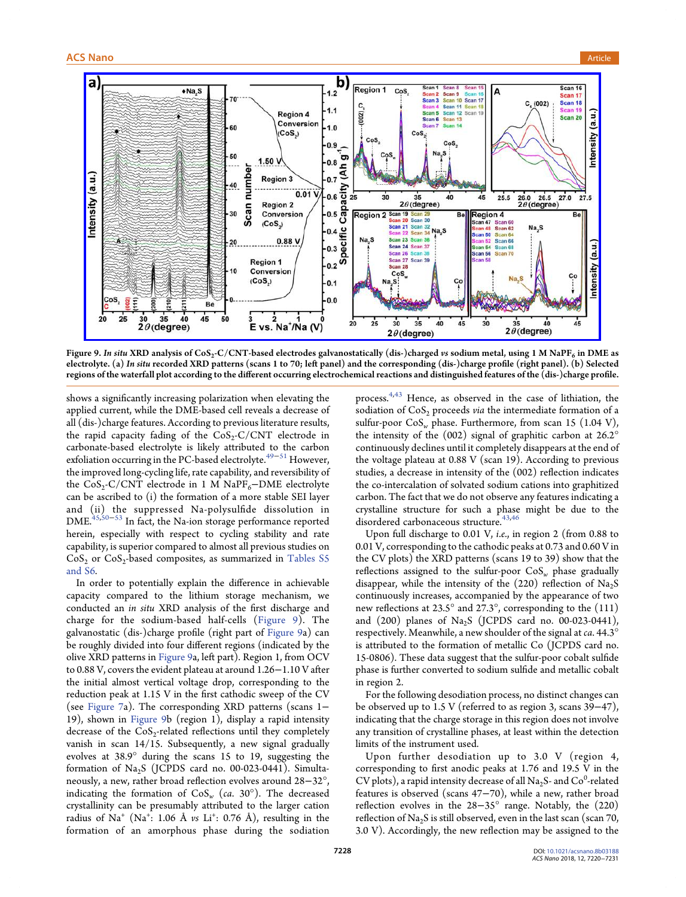

Figure 9. In situ XRD analysis of CoS<sub>2</sub>-C/CNT-based electrodes galvanostatically (dis-)charged vs sodium metal, using 1 M NaPF<sub>6</sub> in DME as electrolyte. (a) In situ recorded XRD patterns (scans 1 to 70; left panel) and the corresponding (dis-)charge profile (right panel). (b) Selected regions of the waterfall plot according to the different occurring electrochemical reactions and distinguished features of the (dis-)charge profile.

shows a significantly increasing polarization when elevating the applied current, while the DME-based cell reveals a decrease of all (dis-)charge features. According to previous literature results, the rapid capacity fading of the  $CoS_2-C/CNT$  electrode in carbonate-based electrolyte is likely attributed to the carbon exfoliation occurring in the PC-based electrolyte.<sup>[49](#page-11-0)-[51](#page-11-0)</sup> However, the improved long-cycling life, rate capability, and reversibility of the  $CoS_2-C/CNT$  electrode in 1 M NaPF<sub>6</sub>−DME electrolyte can be ascribed to (i) the formation of a more stable SEI layer and (ii) the suppressed Na-polysulfide dissolution in DME.[45,50](#page-11-0)−[53](#page-11-0) In fact, the Na-ion storage performance reported herein, especially with respect to cycling stability and rate capability, is superior compared to almost all previous studies on  $CoS<sub>2</sub>$  or  $CoS<sub>2</sub>$ -based composites, as summarized in [Tables S5](http://pubs.acs.org/doi/suppl/10.1021/acsnano.8b03188/suppl_file/nn8b03188_si_001.pdf) [and S6.](http://pubs.acs.org/doi/suppl/10.1021/acsnano.8b03188/suppl_file/nn8b03188_si_001.pdf)

In order to potentially explain the difference in achievable capacity compared to the lithium storage mechanism, we conducted an in situ XRD analysis of the first discharge and charge for the sodium-based half-cells (Figure 9). The galvanostatic (dis-)charge profile (right part of Figure 9a) can be roughly divided into four different regions (indicated by the olive XRD patterns in Figure 9a, left part). Region 1, from OCV to 0.88 V, covers the evident plateau at around 1.26−1.10 V after the initial almost vertical voltage drop, corresponding to the reduction peak at 1.15 V in the first cathodic sweep of the CV (see [Figure 7a](#page-7-0)). The corresponding XRD patterns (scans 1− 19), shown in Figure 9b (region 1), display a rapid intensity decrease of the  $CoS<sub>2</sub>$ -related reflections until they completely vanish in scan 14/15. Subsequently, a new signal gradually evolves at 38.9° during the scans 15 to 19, suggesting the formation of  $Na<sub>2</sub>S$  (JCPDS card no. 00-023-0441). Simultaneously, a new, rather broad reflection evolves around 28−32°, indicating the formation of  $CoS_w$  (ca. 30°). The decreased crystallinity can be presumably attributed to the larger cation radius of Na $^+$  (Na $^+$ : 1.06 Å  $\nu$ s Li $^+$ : 0.76 Å), resulting in the formation of an amorphous phase during the sodiation

process.[4](#page-10-0),[43](#page-11-0) Hence, as observed in the case of lithiation, the sodiation of  $CoS<sub>2</sub>$  proceeds via the intermediate formation of a sulfur-poor  $\cos_{w}$  phase. Furthermore, from scan 15 (1.04 V), the intensity of the (002) signal of graphitic carbon at 26.2° continuously declines until it completely disappears at the end of the voltage plateau at 0.88 V (scan 19). According to previous studies, a decrease in intensity of the (002) reflection indicates the co-intercalation of solvated sodium cations into graphitized carbon. The fact that we do not observe any features indicating a crystalline structure for such a phase might be due to the disordered carbonaceous structure.<sup>[43,46](#page-11-0)</sup>

Upon full discharge to 0.01 V, i.e., in region 2 (from 0.88 to 0.01 V, corresponding to the cathodic peaks at 0.73 and 0.60 V in the CV plots) the XRD patterns (scans 19 to 39) show that the reflections assigned to the sulfur-poor  $\cos w$  phase gradually disappear, while the intensity of the  $(220)$  reflection of Na<sub>2</sub>S continuously increases, accompanied by the appearance of two new reflections at 23.5° and 27.3°, corresponding to the (111) and  $(200)$  planes of Na<sub>2</sub>S (JCPDS card no. 00-023-0441), respectively. Meanwhile, a new shoulder of the signal at ca. 44.3° is attributed to the formation of metallic Co (JCPDS card no. 15-0806). These data suggest that the sulfur-poor cobalt sulfide phase is further converted to sodium sulfide and metallic cobalt in region 2.

For the following desodiation process, no distinct changes can be observed up to 1.5 V (referred to as region 3, scans 39−47), indicating that the charge storage in this region does not involve any transition of crystalline phases, at least within the detection limits of the instrument used.

Upon further desodiation up to 3.0 V (region 4, corresponding to first anodic peaks at 1.76 and 19.5 V in the CV plots), a rapid intensity decrease of all Na<sub>2</sub>S- and Co<sup>0</sup>-related features is observed (scans 47−70), while a new, rather broad reflection evolves in the 28−35° range. Notably, the (220) reflection of  $\text{Na}_2\text{S}$  is still observed, even in the last scan (scan 70, 3.0 V). Accordingly, the new reflection may be assigned to the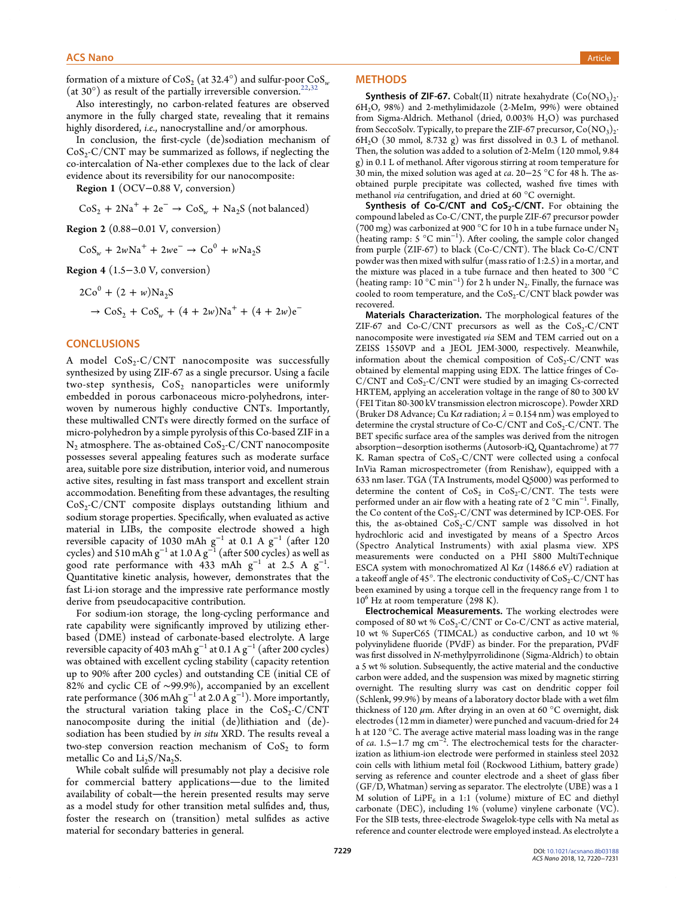<span id="page-9-0"></span>formation of a mixture of  $\cos_2$  (at 32.4°) and sulfur-poor  $\cos_\omega$ (at 30 $^{\circ}$ ) as result of the partially irreversible conversion.<sup>[22,32](#page-11-0)</sup>

Also interestingly, no carbon-related features are observed anymore in the fully charged state, revealing that it remains highly disordered, *i.e.*, nanocrystalline and/or amorphous.

In conclusion, the first-cycle (de)sodiation mechanism of  $CoS_2-C/CNT$  may be summarized as follows, if neglecting the co-intercalation of Na-ether complexes due to the lack of clear evidence about its reversibility for our nanocomposite:

Region 1 (OCV−0.88 V, conversion)

 $\cos_2 + 2\text{Na}^+ + 2\text{e}^- \rightarrow \cos_w + \text{Na}_2\text{S}$  (not balanced)

Region 2 (0.88−0.01 V, conversion)

 $\cos_{w} + 2w \text{Na}^{+} + 2w \text{e}^{-} \rightarrow \text{Co}^{0} + w \text{Na}_{2} \text{S}$ 

Region 4 (1.5−3.0 V, conversion)

$$
2Co0 + (2 + w)Na2S
$$
  
\n
$$
\rightarrow CoS2 + CoSw + (4 + 2w)Na+ + (4 + 2w)e-
$$

## **CONCLUSIONS**

A model  $CoS_2-C/CNT$  nanocomposite was successfully synthesized by using ZIF-67 as a single precursor. Using a facile two-step synthesis,  $\cos_2$  nanoparticles were uniformly embedded in porous carbonaceous micro-polyhedrons, interwoven by numerous highly conductive CNTs. Importantly, these multiwalled CNTs were directly formed on the surface of micro-polyhedron by a simple pyrolysis of this Co-based ZIF in a  $N<sub>2</sub>$  atmosphere. The as-obtained CoS<sub>2</sub>-C/CNT nanocomposite possesses several appealing features such as moderate surface area, suitable pore size distribution, interior void, and numerous active sites, resulting in fast mass transport and excellent strain accommodation. Benefiting from these advantages, the resulting  $CoS<sub>2</sub>-C/CNT$  composite displays outstanding lithium and sodium storage properties. Specifically, when evaluated as active material in LIBs, the composite electrode showed a high reversible capacity of 1030 mAh  $\rm g^{-1}$  at 0.1 A  $\rm g^{-1}$  (after 120 cycles) and 510 mAh  $\rm{g}^{-1}$  at 1.0 A  $\rm{g}^{-1}$  (after 500 cycles) as well as good rate performance with 433 mAh  $g^{-1}$  at 2.5 A  $g^{-1}$ . Quantitative kinetic analysis, however, demonstrates that the fast Li-ion storage and the impressive rate performance mostly derive from pseudocapacitive contribution.

For sodium-ion storage, the long-cycling performance and rate capability were significantly improved by utilizing etherbased (DME) instead of carbonate-based electrolyte. A large reversible capacity of 403 mAh g $^{-1}$  at 0.1 A g $^{-1}$  (after 200 cycles) was obtained with excellent cycling stability (capacity retention up to 90% after 200 cycles) and outstanding CE (initial CE of 82% and cyclic CE of ∼99.9%), accompanied by an excellent rate performance (306 mAh g $^{-1}$  at 2.0 A g $^{-1}$ ). More importantly, the structural variation taking place in the  $CoS_2-C/CNT$ nanocomposite during the initial (de)lithiation and (de) sodiation has been studied by in situ XRD. The results reveal a two-step conversion reaction mechanism of  $CoS<sub>2</sub>$  to form metallic Co and  $Li<sub>2</sub>S/Na<sub>2</sub>S$ .

While cobalt sulfide will presumably not play a decisive role for commercial battery applications—due to the limited availability of cobalt-the herein presented results may serve as a model study for other transition metal sulfides and, thus, foster the research on (transition) metal sulfides as active material for secondary batteries in general.

#### **METHODS**

**Synthesis of ZIF-67.** Cobalt(II) nitrate hexahydrate  $(Co(NO_2))$ <sup>2</sup> 6H2O, 98%) and 2-methylimidazole (2-MeIm, 99%) were obtained from Sigma-Aldrich. Methanol (dried, 0.003%  $H_2O$ ) was purchased from SeccoSolv. Typically, to prepare the ZIF-67 precursor,  $Co(NO<sub>3</sub>)<sub>2</sub>$ .  $6H<sub>2</sub>O$  (30 mmol,  $8.732 g$ ) was first dissolved in 0.3 L of methanol. Then, the solution was added to a solution of 2-MeIm (120 mmol, 9.84 g) in 0.1 L of methanol. After vigorous stirring at room temperature for 30 min, the mixed solution was aged at ca. 20−25 °C for 48 h. The asobtained purple precipitate was collected, washed five times with methanol via centrifugation, and dried at 60 °C overnight.

Synthesis of Co-C/CNT and  $CoS_2-C/CNT$ . For obtaining the compound labeled as Co-C/CNT, the purple ZIF-67 precursor powder (700 mg) was carbonized at 900 °C for 10 h in a tube furnace under  $N_2$ (heating ramp: 5 °C min<sup>−</sup><sup>1</sup> ). After cooling, the sample color changed from purple (ZIF-67) to black (Co-C/CNT). The black Co-C/CNT powder was then mixed with sulfur (mass ratio of 1:2.5) in a mortar, and the mixture was placed in a tube furnace and then heated to 300 °C (heating ramp:  $10^{\circ}$ C min<sup>-1</sup>) for 2 h under N<sub>2</sub>. Finally, the furnace was cooled to room temperature, and the  $CoS_2-C/CNT$  black powder was recovered.

Materials Characterization. The morphological features of the ZIF-67 and  $Co-C/CNT$  precursors as well as the  $CoS_2-C/CNT$ nanocomposite were investigated via SEM and TEM carried out on a ZEISS 1550VP and a JEOL JEM-3000, respectively. Meanwhile, information about the chemical composition of  $CoS_2-C/CNT$  was obtained by elemental mapping using EDX. The lattice fringes of Co- $C/CNT$  and  $CoS_2-C/CNT$  were studied by an imaging Cs-corrected HRTEM, applying an acceleration voltage in the range of 80 to 300 kV (FEI Titan 80-300 kV transmission electron microscope). Powder XRD (Bruker D8 Advance; Cu K $\alpha$  radiation;  $\lambda$  = 0.154 nm) was employed to determine the crystal structure of  $Co-C/CNT$  and  $CoS_2-C/CNT$ . The BET specific surface area of the samples was derived from the nitrogen absorption−desorption isotherms (Autosorb-iQ, Quantachrome) at 77 K. Raman spectra of  $CoS_2-C/CNT$  were collected using a confocal InVia Raman microspectrometer (from Renishaw), equipped with a 633 nm laser. TGA (TA Instruments, model Q5000) was performed to determine the content of  $CoS_2$  in  $CoS_2-C/CNT$ . The tests were performed under an air flow with a heating rate of 2 °C min<sup>-1</sup>. Finally, the Co content of the  $CoS_2-C/CNT$  was determined by ICP-OES. For this, the as-obtained  $CoS_2-C/CNT$  sample was dissolved in hot hydrochloric acid and investigated by means of a Spectro Arcos (Spectro Analytical Instruments) with axial plasma view. XPS measurements were conducted on a PHI 5800 MultiTechnique ESCA system with monochromatized Al K $\alpha$  (1486.6 eV) radiation at a takeoff angle of 45°. The electronic conductivity of  $CoS_2-C/CNT$  has been examined by using a torque cell in the frequency range from 1 to  $10^6$  Hz at room temperature (298 K).

Electrochemical Measurements. The working electrodes were composed of 80 wt %  $CoS_2-C/CNT$  or  $Co-C/CNT$  as active material, 10 wt % SuperC65 (TIMCAL) as conductive carbon, and 10 wt % polyvinylidene fluoride (PVdF) as binder. For the preparation, PVdF was first dissolved in N-methylpyrrolidinone (Sigma-Aldrich) to obtain a 5 wt % solution. Subsequently, the active material and the conductive carbon were added, and the suspension was mixed by magnetic stirring overnight. The resulting slurry was cast on dendritic copper foil (Schlenk, 99.9%) by means of a laboratory doctor blade with a wet film thickness of 120  $\mu$ m. After drying in an oven at 60 °C overnight, disk electrodes (12 mm in diameter) were punched and vacuum-dried for 24 h at 120 °C. The average active material mass loading was in the range of ca. 1.5−1.7 mg cm<sup>-2</sup>. The electrochemical tests for the characterization as lithium-ion electrode were performed in stainless steel 2032 coin cells with lithium metal foil (Rockwood Lithium, battery grade) serving as reference and counter electrode and a sheet of glass fiber (GF/D, Whatman) serving as separator. The electrolyte (UBE) was a 1 M solution of  $LIPF_6$  in a 1:1 (volume) mixture of EC and diethyl carbonate (DEC), including 1% (volume) vinylene carbonate (VC). For the SIB tests, three-electrode Swagelok-type cells with Na metal as reference and counter electrode were employed instead. As electrolyte a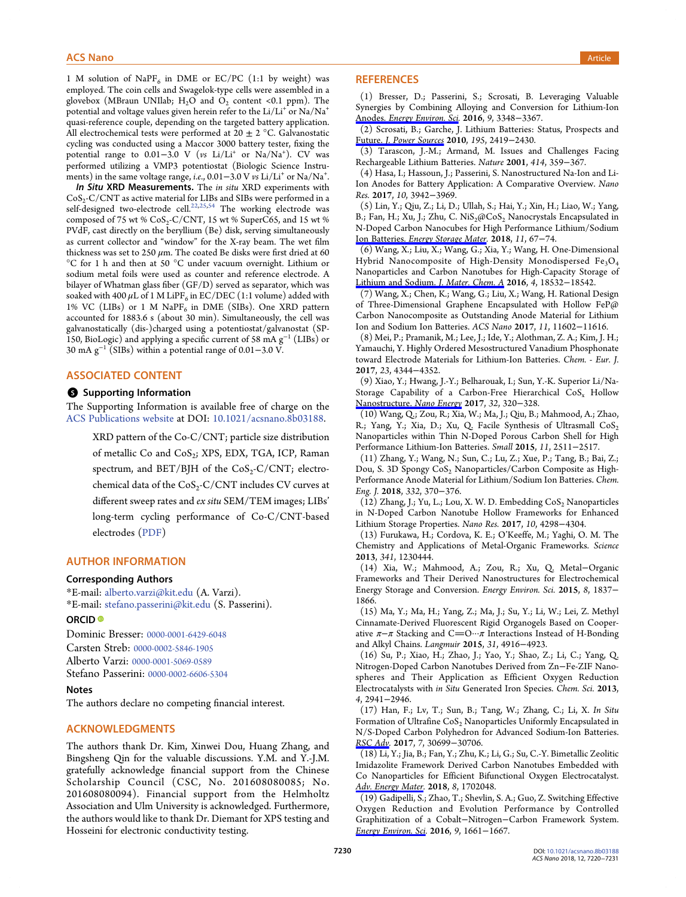<span id="page-10-0"></span>1 M solution of NaPF<sub>6</sub> in DME or EC/PC (1:1 by weight) was employed. The coin cells and Swagelok-type cells were assembled in a glovebox (MBraun UNIlab;  $H_2O$  and  $O_2$  content <0.1 ppm). The potential and voltage values given herein refer to the  $Li/L<sup>+</sup>$  or  $Na/Na<sup>+</sup>$ quasi-reference couple, depending on the targeted battery application. All electrochemical tests were performed at 20  $\pm$  2 °C. Galvanostatic cycling was conducted using a Maccor 3000 battery tester, fixing the potential range to 0.01–3.0 V (vs Li/Li<sup>+</sup> or Na/Na<sup>+</sup>). CV was performed utilizing a VMP3 potentiostat (Biologic Science Instruments) in the same voltage range, *i.e.*, 0.01–3.0 V *vs Li/Li*<sup>+</sup> or Na/Na<sup>+</sup>.

In Situ XRD Measurements. The in situ XRD experiments with CoS<sub>2</sub>-C/CNT as active material for LIBs and SIBs were performed in a self-designed two-electrode cell.<sup>[22,25](#page-11-0),[54](#page-11-0)</sup> The working electrode was composed of 75 wt %  $CoS_2-C/CNT$ , 15 wt % SuperC65, and 15 wt % PVdF, cast directly on the beryllium (Be) disk, serving simultaneously as current collector and "window" for the X-ray beam. The wet film thickness was set to 250  $\mu$ m. The coated Be disks were first dried at 60 °C for 1 h and then at 50 °C under vacuum overnight. Lithium or sodium metal foils were used as counter and reference electrode. A bilayer of Whatman glass fiber (GF/D) served as separator, which was soaked with 400  $\mu$ L of 1 M LiPF<sub>6</sub> in EC/DEC (1:1 volume) added with 1% VC (LIBs) or 1 M NaP $F_6$  in DME (SIBs). One XRD pattern accounted for 1883.6 s (about 30 min). Simultaneously, the cell was galvanostatically (dis-)charged using a potentiostat/galvanostat (SP-150, BioLogic) and applying a specific current of 58 mA g<sup>−</sup><sup>1</sup> (LIBs) or 30 mA g<sup>−</sup><sup>1</sup> (SIBs) within a potential range of 0.01−3.0 V.

# ASSOCIATED CONTENT

#### **6** Supporting Information

The Supporting Information is available free of charge on the [ACS Publications website](http://pubs.acs.org) at DOI: [10.1021/acsnano.8b03188](http://pubs.acs.org/doi/abs/10.1021/acsnano.8b03188).

XRD pattern of the Co-C/CNT; particle size distribution of metallic Co and CoS<sub>2</sub>; XPS, EDX, TGA, ICP, Raman spectrum, and  $BET/BJH$  of the  $CoS<sub>2</sub>-C/CNT$ ; electrochemical data of the  $CoS_2-C/CNT$  includes CV curves at different sweep rates and ex situ SEM/TEM images; LIBs' long-term cycling performance of Co-C/CNT-based electrodes ([PDF\)](http://pubs.acs.org/doi/suppl/10.1021/acsnano.8b03188/suppl_file/nn8b03188_si_001.pdf)

#### AUTHOR INFORMATION

#### Corresponding Authors

\*E-mail: [alberto.varzi@kit.edu](mailto:alberto.varzi@kit.edu) (A. Varzi). \*E-mail: [stefano.passerini@kit.edu](mailto:stefano.passerini@kit.edu) (S. Passerini).

# ORCID<sup>®</sup>

Dominic Bresser: [0000-0001-6429-6048](http://orcid.org/0000-0001-6429-6048) Carsten Streb: [0000-0002-5846-1905](http://orcid.org/0000-0002-5846-1905) Alberto Varzi: [0000-0001-5069-0589](http://orcid.org/0000-0001-5069-0589) Stefano Passerini: [0000-0002-6606-5304](http://orcid.org/0000-0002-6606-5304)

#### Notes

The authors declare no competing financial interest.

#### ACKNOWLEDGMENTS

The authors thank Dr. Kim, Xinwei Dou, Huang Zhang, and Bingsheng Qin for the valuable discussions. Y.M. and Y.-J.M. gratefully acknowledge financial support from the Chinese Scholarship Council (CSC, No. 201608080085; No. 201608080094). Financial support from the Helmholtz Association and Ulm University is acknowledged. Furthermore, the authors would like to thank Dr. Diemant for XPS testing and Hosseini for electronic conductivity testing.

## **REFERENCES**

(1) Bresser, D.; Passerini, S.; Scrosati, B. Leveraging Valuable Synergies by Combining Alloying and Conversion for Lithium-Ion Anodes. [Energy Environ. Sci](http://pubs.acs.org/action/showLinks?crossref=10.1039%2FC6EE02346K&coi=1%3ACAS%3A528%3ADC%252BC28XhsFeqsrfF&citationId=p_n_3_1). 2016, 9, 3348−3367.

(2) Scrosati, B.; Garche, J. Lithium Batteries: Status, Prospects and Future. [J. Power Sources](http://pubs.acs.org/action/showLinks?crossref=10.1016%2Fj.jpowsour.2009.11.048&coi=1%3ACAS%3A528%3ADC%252BC3cXivF2htQ%253D%253D&citationId=p_n_7_1) 2010, 195, 2419−2430.

(3) Tarascon, J.-M.; Armand, M. Issues and Challenges Facing Rechargeable Lithium Batteries. Nature 2001, 414, 359−367.

(4) Hasa, I.; Hassoun, J.; Passerini, S. Nanostructured Na-Ion and Li-Ion Anodes for Battery Application: A Comparative Overview. Nano Res. 2017, 10, 3942−3969.

(5) Lin, Y.; Qiu, Z.; Li, D.; Ullah, S.; Hai, Y.; Xin, H.; Liao, W.; Yang, B.; Fan, H.; Xu, J.; Zhu, C.  $NiS_2@CoS_2$  Nanocrystals Encapsulated in N-Doped Carbon Nanocubes for High Performance Lithium/Sodium Ion Batteries. [Energy Storage Mater.](http://pubs.acs.org/action/showLinks?crossref=10.1016%2Fj.ensm.2017.06.001&citationId=p_n_22_1) 2018, 11, 67−74.

(6) Wang, X.; Liu, X.; Wang, G.; Xia, Y.; Wang, H. One-Dimensional Hybrid Nanocomposite of High-Density Monodispersed Fe<sub>3</sub>O<sub>4</sub> Nanoparticles and Carbon Nanotubes for High-Capacity Storage of [Lithium and Sodium.](http://pubs.acs.org/action/showLinks?crossref=10.1039%2FC6TA07452A&citationId=p_n_28_1) J. Mater. Chem. A 2016, 4, 18532−18542.

(7) Wang, X.; Chen, K.; Wang, G.; Liu, X.; Wang, H. Rational Design of Three-Dimensional Graphene Encapsulated with Hollow FeP@ Carbon Nanocomposite as Outstanding Anode Material for Lithium Ion and Sodium Ion Batteries. ACS Nano 2017, 11, 11602−11616.

(8) Mei, P.; Pramanik, M.; Lee, J.; Ide, Y.; Alothman, Z. A.; Kim, J. H.; Yamauchi, Y. Highly Ordered Mesostructured Vanadium Phosphonate toward Electrode Materials for Lithium-Ion Batteries. Chem. - Eur. J. 2017, 23, 4344−4352.

(9) Xiao, Y.; Hwang, J.-Y.; Belharouak, I.; Sun, Y.-K. Superior Li/Na-Storage Capability of a Carbon-Free Hierarchical  $\cos x$  Hollow [Nanostructure.](http://pubs.acs.org/action/showLinks?crossref=10.1016%2Fj.nanoen.2016.12.053&coi=1%3ACAS%3A528%3ADC%252BC2sXmsVCrsA%253D%253D&citationId=p_n_45_1) Nano Energy 2017, 32, 320−328.

(10) Wang, Q.; Zou, R.; Xia, W.; Ma, J.; Qiu, B.; Mahmood, A.; Zhao, R.; Yang, Y.; Xia, D.; Xu, Q. Facile Synthesis of Ultrasmall  $\text{CoS}_2$ Nanoparticles within Thin N-Doped Porous Carbon Shell for High Performance Lithium-Ion Batteries. Small 2015, 11, 2511−2517.

(11) Zhang, Y.; Wang, N.; Sun, C.; Lu, Z.; Xue, P.; Tang, B.; Bai, Z.; Dou, S. 3D Spongy CoS<sub>2</sub> Nanoparticles/Carbon Composite as High-Performance Anode Material for Lithium/Sodium Ion Batteries. Chem. Eng. J. 2018, 332, 370−376.

 $(12)$  Zhang, J.; Yu, L.; Lou, X. W. D. Embedding CoS<sub>2</sub> Nanoparticles in N-Doped Carbon Nanotube Hollow Frameworks for Enhanced Lithium Storage Properties. Nano Res. 2017, 10, 4298−4304.

(13) Furukawa, H.; Cordova, K. E.; O'Keeffe, M.; Yaghi, O. M. The Chemistry and Applications of Metal-Organic Frameworks. Science 2013, 341, 1230444.

(14) Xia, W.; Mahmood, A.; Zou, R.; Xu, Q. Metal−Organic Frameworks and Their Derived Nanostructures for Electrochemical Energy Storage and Conversion. Energy Environ. Sci. 2015, 8, 1837− 1866.

(15) Ma, Y.; Ma, H.; Yang, Z.; Ma, J.; Su, Y.; Li, W.; Lei, Z. Methyl Cinnamate-Derived Fluorescent Rigid Organogels Based on Cooperative  $\pi-\pi$  Stacking and C=O… $\pi$  Interactions Instead of H-Bonding and Alkyl Chains. Langmuir 2015, 31, 4916−4923.

(16) Su, P.; Xiao, H.; Zhao, J.; Yao, Y.; Shao, Z.; Li, C.; Yang, Q. Nitrogen-Doped Carbon Nanotubes Derived from Zn−Fe-ZIF Nanospheres and Their Application as Efficient Oxygen Reduction Electrocatalysts with in Situ Generated Iron Species. Chem. Sci. 2013, 4, 2941−2946.

(17) Han, F.; Lv, T.; Sun, B.; Tang, W.; Zhang, C.; Li, X. In Situ Formation of Ultrafine  $\cos_2$  Nanoparticles Uniformly Encapsulated in N/S-Doped Carbon Polyhedron for Advanced Sodium-Ion Batteries. [RSC Adv](http://pubs.acs.org/action/showLinks?crossref=10.1039%2FC7RA03628K&coi=1%3ACAS%3A528%3ADC%252BC2sXpvFyju70%253D&citationId=p_n_88_1). 2017, 7, 30699−30706.

(18) Li, Y.; Jia, B.; Fan, Y.; Zhu, K.; Li, G.; Su, C.-Y. Bimetallic Zeolitic Imidazolite Framework Derived Carbon Nanotubes Embedded with Co Nanoparticles for Efficient Bifunctional Oxygen Electrocatalyst. [Adv. Energy Mater](http://pubs.acs.org/action/showLinks?crossref=10.1002%2Faenm.201702048&citationId=p_n_94_1). 2018, 8, 1702048.

(19) Gadipelli, S.; Zhao, T.; Shevlin, S. A.; Guo, Z. Switching Effective Oxygen Reduction and Evolution Performance by Controlled Graphitization of a Cobalt−Nitrogen−Carbon Framework System. [Energy Environ. Sci](http://pubs.acs.org/action/showLinks?crossref=10.1039%2FC6EE00551A&coi=1%3ACAS%3A528%3ADC%252BC28XmvFyltbc%253D&citationId=p_n_98_1). 2016, 9, 1661−1667.